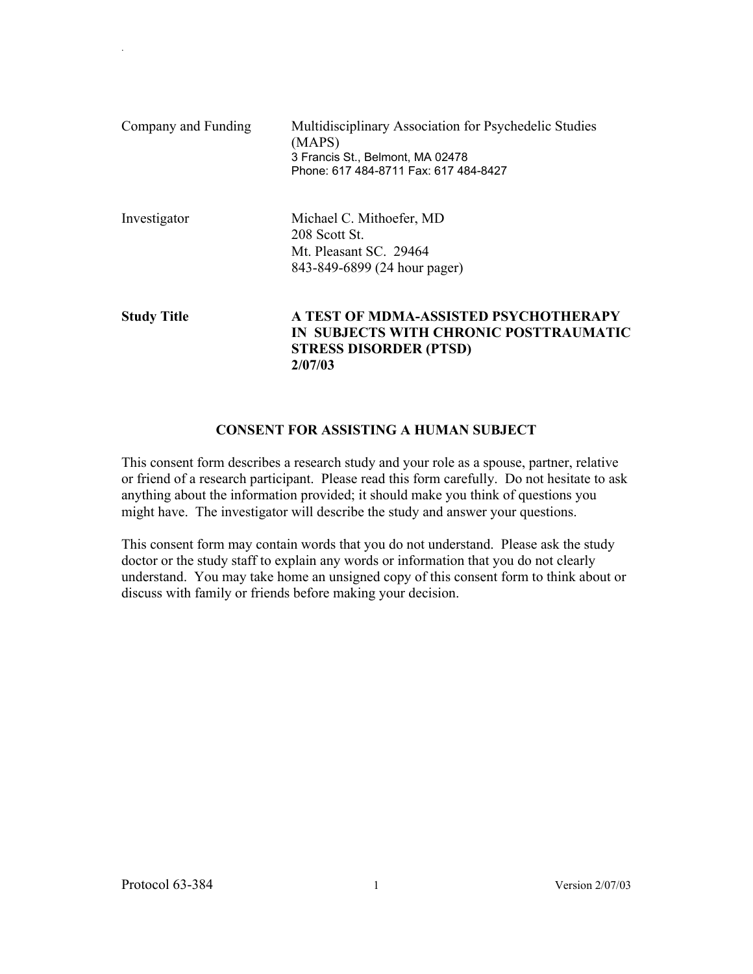| Company and Funding | Multidisciplinary Association for Psychedelic Studies<br>(MAPS)<br>3 Francis St., Belmont, MA 02478<br>Phone: 617 484-8711 Fax: 617 484-8427 |
|---------------------|----------------------------------------------------------------------------------------------------------------------------------------------|
| Investigator        | Michael C. Mithoefer, MD<br>208 Scott St.<br>Mt. Pleasant SC. 29464<br>843-849-6899 (24 hour pager)                                          |
| <b>Study Title</b>  | A TEST OF MDMA-ASSISTED PSYCHOTHERAPY<br>IN SUBJECTS WITH CHRONIC POSTTRAUMATIC<br><b>STRESS DISORDER (PTSD)</b><br>2/07/03                  |

### **CONSENT FOR ASSISTING A HUMAN SUBJECT**

This consent form describes a research study and your role as a spouse, partner, relative or friend of a research participant. Please read this form carefully. Do not hesitate to ask anything about the information provided; it should make you think of questions you might have. The investigator will describe the study and answer your questions.

This consent form may contain words that you do not understand. Please ask the study doctor or the study staff to explain any words or information that you do not clearly understand. You may take home an unsigned copy of this consent form to think about or discuss with family or friends before making your decision.

.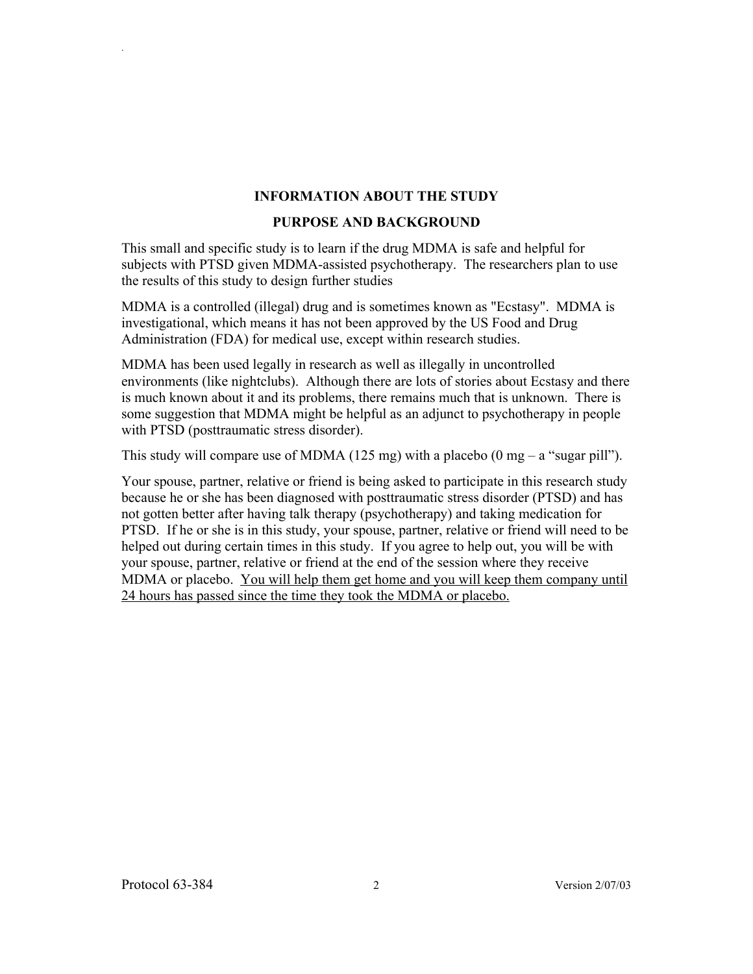### **INFORMATION ABOUT THE STUDY**

### **PURPOSE AND BACKGROUND**

This small and specific study is to learn if the drug MDMA is safe and helpful for subjects with PTSD given MDMA-assisted psychotherapy. The researchers plan to use the results of this study to design further studies

MDMA is a controlled (illegal) drug and is sometimes known as "Ecstasy". MDMA is investigational, which means it has not been approved by the US Food and Drug Administration (FDA) for medical use, except within research studies.

MDMA has been used legally in research as well as illegally in uncontrolled environments (like nightclubs). Although there are lots of stories about Ecstasy and there is much known about it and its problems, there remains much that is unknown. There is some suggestion that MDMA might be helpful as an adjunct to psychotherapy in people with PTSD (posttraumatic stress disorder).

This study will compare use of MDMA (125 mg) with a placebo (0 mg – a "sugar pill").

Your spouse, partner, relative or friend is being asked to participate in this research study because he or she has been diagnosed with posttraumatic stress disorder (PTSD) and has not gotten better after having talk therapy (psychotherapy) and taking medication for PTSD. If he or she is in this study, your spouse, partner, relative or friend will need to be helped out during certain times in this study. If you agree to help out, you will be with your spouse, partner, relative or friend at the end of the session where they receive MDMA or placebo. You will help them get home and you will keep them company until 24 hours has passed since the time they took the MDMA or placebo.

.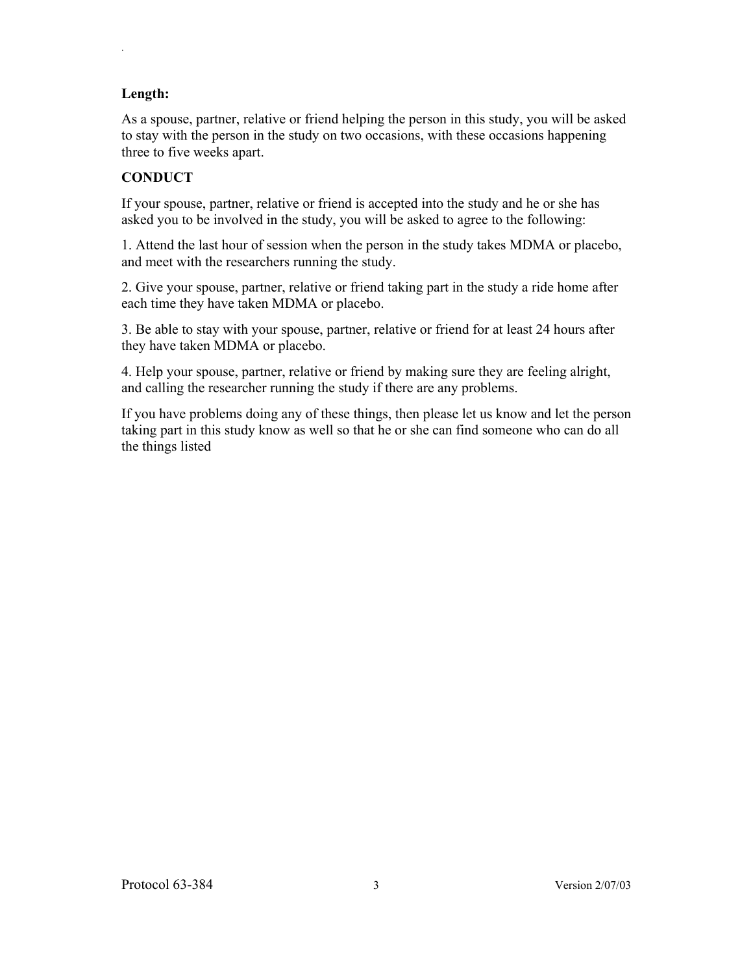# **Length:**

.

As a spouse, partner, relative or friend helping the person in this study, you will be asked to stay with the person in the study on two occasions, with these occasions happening three to five weeks apart.

# **CONDUCT**

If your spouse, partner, relative or friend is accepted into the study and he or she has asked you to be involved in the study, you will be asked to agree to the following:

1. Attend the last hour of session when the person in the study takes MDMA or placebo, and meet with the researchers running the study.

2. Give your spouse, partner, relative or friend taking part in the study a ride home after each time they have taken MDMA or placebo.

3. Be able to stay with your spouse, partner, relative or friend for at least 24 hours after they have taken MDMA or placebo.

4. Help your spouse, partner, relative or friend by making sure they are feeling alright, and calling the researcher running the study if there are any problems.

If you have problems doing any of these things, then please let us know and let the person taking part in this study know as well so that he or she can find someone who can do all the things listed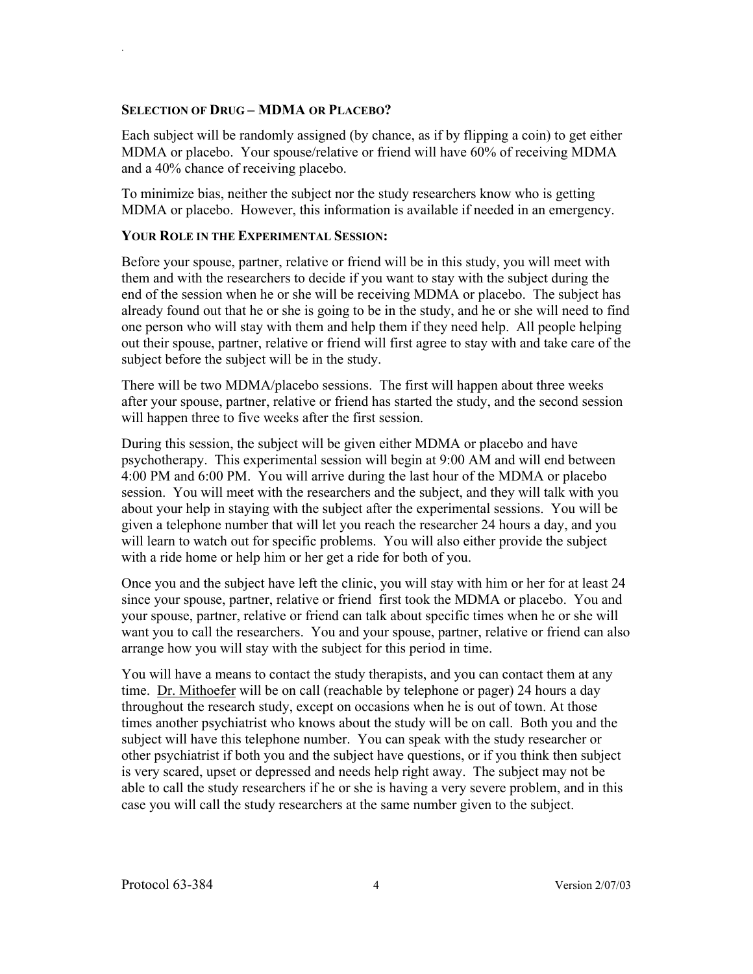#### **SELECTION OF DRUG – MDMA OR PLACEBO?**

.

Each subject will be randomly assigned (by chance, as if by flipping a coin) to get either MDMA or placebo. Your spouse/relative or friend will have 60% of receiving MDMA and a 40% chance of receiving placebo.

To minimize bias, neither the subject nor the study researchers know who is getting MDMA or placebo. However, this information is available if needed in an emergency.

### **YOUR ROLE IN THE EXPERIMENTAL SESSION:**

Before your spouse, partner, relative or friend will be in this study, you will meet with them and with the researchers to decide if you want to stay with the subject during the end of the session when he or she will be receiving MDMA or placebo. The subject has already found out that he or she is going to be in the study, and he or she will need to find one person who will stay with them and help them if they need help. All people helping out their spouse, partner, relative or friend will first agree to stay with and take care of the subject before the subject will be in the study.

There will be two MDMA/placebo sessions. The first will happen about three weeks after your spouse, partner, relative or friend has started the study, and the second session will happen three to five weeks after the first session.

During this session, the subject will be given either MDMA or placebo and have psychotherapy. This experimental session will begin at 9:00 AM and will end between 4:00 PM and 6:00 PM. You will arrive during the last hour of the MDMA or placebo session. You will meet with the researchers and the subject, and they will talk with you about your help in staying with the subject after the experimental sessions. You will be given a telephone number that will let you reach the researcher 24 hours a day, and you will learn to watch out for specific problems. You will also either provide the subject with a ride home or help him or her get a ride for both of you.

Once you and the subject have left the clinic, you will stay with him or her for at least 24 since your spouse, partner, relative or friend first took the MDMA or placebo. You and your spouse, partner, relative or friend can talk about specific times when he or she will want you to call the researchers. You and your spouse, partner, relative or friend can also arrange how you will stay with the subject for this period in time.

You will have a means to contact the study therapists, and you can contact them at any time. Dr. Mithoefer will be on call (reachable by telephone or pager) 24 hours a day throughout the research study, except on occasions when he is out of town. At those times another psychiatrist who knows about the study will be on call. Both you and the subject will have this telephone number. You can speak with the study researcher or other psychiatrist if both you and the subject have questions, or if you think then subject is very scared, upset or depressed and needs help right away. The subject may not be able to call the study researchers if he or she is having a very severe problem, and in this case you will call the study researchers at the same number given to the subject.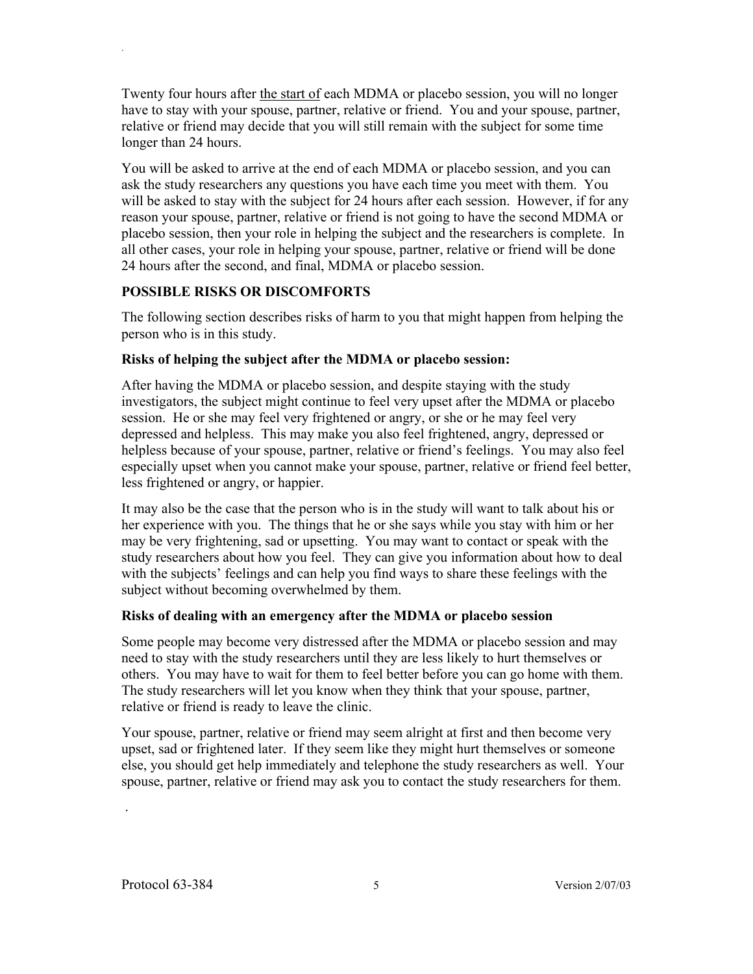Twenty four hours after the start of each MDMA or placebo session, you will no longer have to stay with your spouse, partner, relative or friend. You and your spouse, partner, relative or friend may decide that you will still remain with the subject for some time longer than 24 hours.

You will be asked to arrive at the end of each MDMA or placebo session, and you can ask the study researchers any questions you have each time you meet with them. You will be asked to stay with the subject for 24 hours after each session. However, if for any reason your spouse, partner, relative or friend is not going to have the second MDMA or placebo session, then your role in helping the subject and the researchers is complete. In all other cases, your role in helping your spouse, partner, relative or friend will be done 24 hours after the second, and final, MDMA or placebo session.

## **POSSIBLE RISKS OR DISCOMFORTS**

.

The following section describes risks of harm to you that might happen from helping the person who is in this study.

## **Risks of helping the subject after the MDMA or placebo session:**

After having the MDMA or placebo session, and despite staying with the study investigators, the subject might continue to feel very upset after the MDMA or placebo session. He or she may feel very frightened or angry, or she or he may feel very depressed and helpless. This may make you also feel frightened, angry, depressed or helpless because of your spouse, partner, relative or friend's feelings. You may also feel especially upset when you cannot make your spouse, partner, relative or friend feel better, less frightened or angry, or happier.

It may also be the case that the person who is in the study will want to talk about his or her experience with you. The things that he or she says while you stay with him or her may be very frightening, sad or upsetting. You may want to contact or speak with the study researchers about how you feel. They can give you information about how to deal with the subjects' feelings and can help you find ways to share these feelings with the subject without becoming overwhelmed by them.

# **Risks of dealing with an emergency after the MDMA or placebo session**

Some people may become very distressed after the MDMA or placebo session and may need to stay with the study researchers until they are less likely to hurt themselves or others. You may have to wait for them to feel better before you can go home with them. The study researchers will let you know when they think that your spouse, partner, relative or friend is ready to leave the clinic.

Your spouse, partner, relative or friend may seem alright at first and then become very upset, sad or frightened later. If they seem like they might hurt themselves or someone else, you should get help immediately and telephone the study researchers as well. Your spouse, partner, relative or friend may ask you to contact the study researchers for them.

.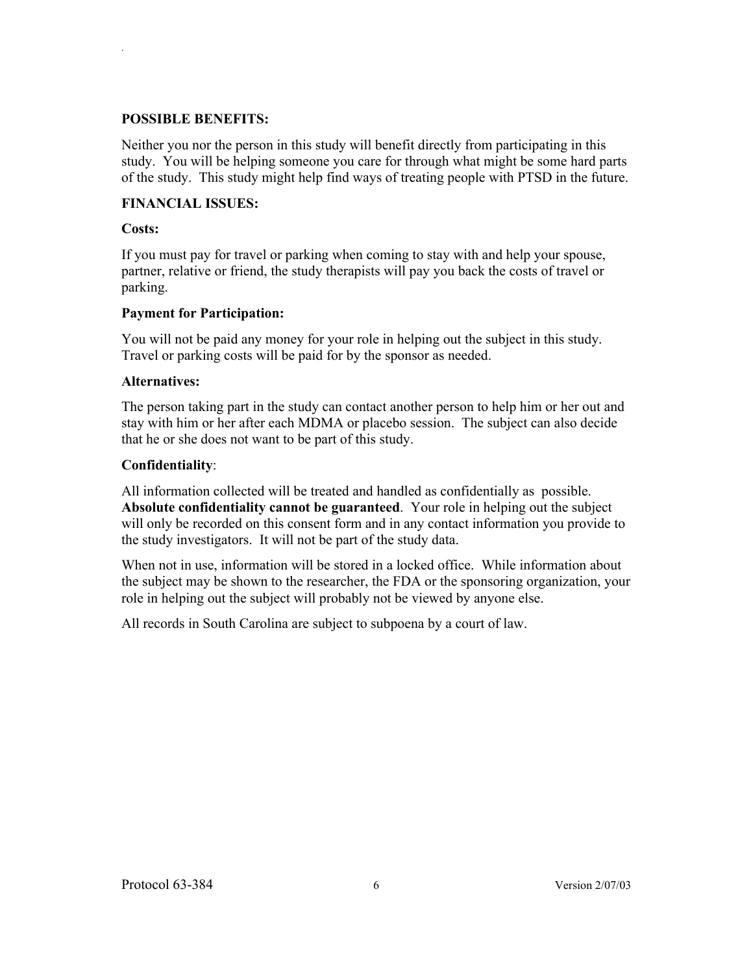### **POSSIBLE BENEFITS:**

Neither you nor the person in this study will benefit directly from participating in this study. You will be helping someone you care for through what might be some hard parts of the study. This study might help find ways of treating people with PTSD in the future.

# **FINANCIAL ISSUES:**

### **Costs:**

.

If you must pay for travel or parking when coming to stay with and help your spouse, partner, relative or friend, the study therapists will pay you back the costs of travel or parking.

## **Payment for Participation:**

You will not be paid any money for your role in helping out the subject in this study. Travel or parking costs will be paid for by the sponsor as needed.

## **Alternatives:**

The person taking part in the study can contact another person to help him or her out and stay with him or her after each MDMA or placebo session. The subject can also decide that he or she does not want to be part of this study.

## **Confidentiality**:

All information collected will be treated and handled as confidentially as possible. **Absolute confidentiality cannot be guaranteed**. Your role in helping out the subject will only be recorded on this consent form and in any contact information you provide to the study investigators. It will not be part of the study data.

When not in use, information will be stored in a locked office. While information about the subject may be shown to the researcher, the FDA or the sponsoring organization, your role in helping out the subject will probably not be viewed by anyone else.

All records in South Carolina are subject to subpoena by a court of law.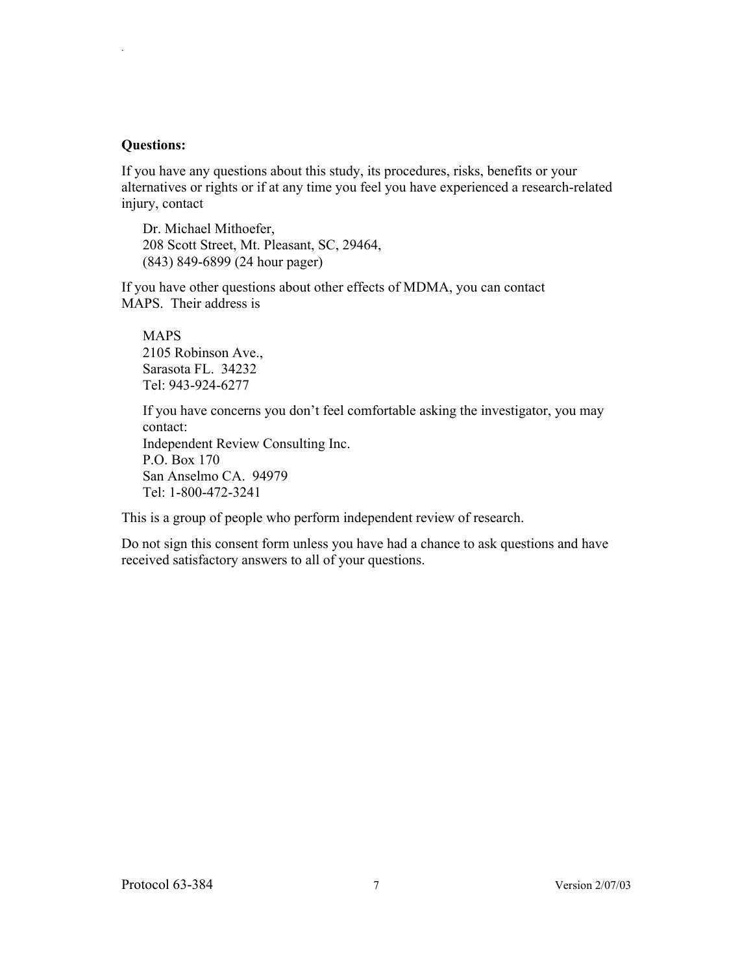#### **Questions:**

.

If you have any questions about this study, its procedures, risks, benefits or your alternatives or rights or if at any time you feel you have experienced a research-related injury, contact

Dr. Michael Mithoefer, 208 Scott Street, Mt. Pleasant, SC, 29464, (843) 849-6899 (24 hour pager)

If you have other questions about other effects of MDMA, you can contact MAPS. Their address is

MAPS 2105 Robinson Ave., Sarasota FL. 34232 Tel: 943-924-6277

If you have concerns you don't feel comfortable asking the investigator, you may contact:

Independent Review Consulting Inc. P.O. Box 170 San Anselmo CA. 94979 Tel: 1-800-472-3241

This is a group of people who perform independent review of research.

Do not sign this consent form unless you have had a chance to ask questions and have received satisfactory answers to all of your questions.